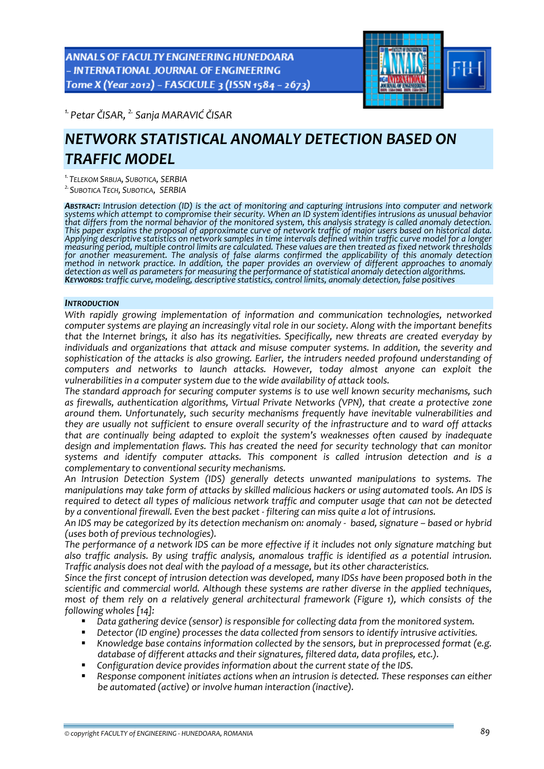ANNALS OF FACULTY ENGINEERING HUNEDOARA - INTERNATIONAL JOURNAL OF ENGINEERING Tome X (Year 2012) - FASCICULE 3 (ISSN 1584 - 2673)



*1. Petar ČISAR, 2. Sanja MARAVIĆ ČISAR*

# *NETWORK STATISTICAL ANOMALY DETECTION BASED ON TRAFFIC MODEL*

*1.TELEKOM SRBIJA, SUBOTICA, SERBIA*

*2.SUBOTICA TECH, SUBOTICA, SERBIA*

*ABSTRACT: Intrusion detection (ID) is the act of monitoring and capturing intrusions into computer and network systems which attempt to compromise their security. When an ID system identifies intrusions as unusual behavior* that differs from the normal behavior of the monitored system, this analysis strategy is called anomaly detection. This paper explains the proposal of approximate curve of network traffic of major users based on historical data. Applying descriptive statistics on network samples in time intervals defined within traffic curve model for a longer<br>measuring period, multiple control limits are calculated. These values are then treated as fixed network *for another measurement. The analysis of false alarms confirmed the applicability of this anomaly detection* method in network practice. In addition, the paper provides an overview of different approaches to anomaly<br>detection as well as parameters for measuring the performance of statistical anomaly detection algorithms.<br>**K**EYWOR

# *INTRODUCTION*

*With rapidly growing implementation of information and communication technologies, networked computer systems are playing an increasingly vital role in our society. Along with the important benefits that the Internet brings, it also has its negativities. Specifically, new threats are created everyday by individuals and organizations that attack and misuse computer systems. In addition, the severity and sophistication of the attacks is also growing. Earlier, the intruders needed profound understanding of computers and networks to launch attacks. However, today almost anyone can exploit the vulnerabilities in a computer system due to the wide availability of attack tools.*

*The standard approach for securing computer systems is to use well known security mechanisms, such as firewalls, authentication algorithms, Virtual Private Networks (VPN), that create a protective zone around them. Unfortunately, such security mechanisms frequently have inevitable vulnerabilities and they are usually not sufficient to ensure overall security of the infrastructure and to ward off attacks that are continually being adapted to exploit the system's weaknesses often caused by inadequate design and implementation flaws. This has created the need for security technology that can monitor systems and identify computer attacks. This component is called intrusion detection and is a complementary to conventional security mechanisms.*

*An Intrusion Detection System (IDS) generally detects unwanted manipulations to systems. The manipulations may take form of attacks by skilled malicious hackers or using automated tools. An IDS is required to detect all types of malicious network traffic and computer usage that can not be detected by a conventional firewall. Even the best packet ‐ filtering can miss quite a lot of intrusions.*

An IDS may be categorized by its detection mechanism on: anomaly - based, signature – based or hybrid *(uses both of previous technologies).*

The performance of a network IDS can be more effective if it includes not only signature matching but *also traffic analysis. By using traffic analysis, anomalous traffic is identified as a potential intrusion. Traffic analysis does not deal with the payload of a message, but its other characteristics.*

*Since the first concept of intrusion detection was developed, many IDSs have been proposed both in the scientific and commercial world. Although these systems are rather diverse in the applied techniques, most of them rely on a relatively general architectural framework (Figure 1), which consists of the following wholes [14]:*

- *Data gathering device (sensor) is responsible for collecting data from the monitored system.*
- *Detector (ID engine) processes the data collected from sensors to identify intrusive activities.*
- *Knowledge base contains information collected by the sensors, but in preprocessed format (e.g. database of different attacks and their signatures, filtered data, data profiles, etc.).*
- *Configuration device provides information about the current state of the IDS.*
- *Response component initiates actions when an intrusion is detected. These responses can either be automated (active) or involve human interaction (inactive).*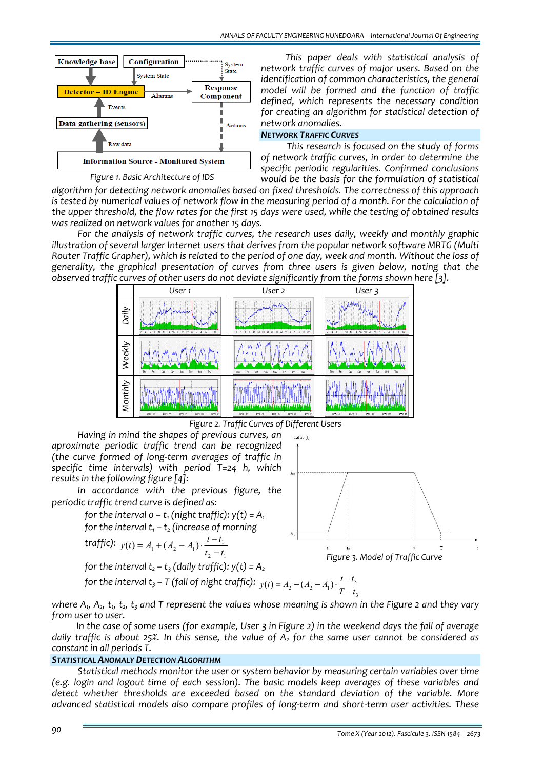

*This paper deals with statistical analysis of network traffic curves of major users. Based on the identification of common characteristics, the general model will be formed and the function of traffic defined, which represents the necessary condition for creating an algorithm for statistical detection of network anomalies.*

#### *NETWORK TRAFFIC CURVES*

*This research is focused on the study of forms of network traffic curves, in order to determine the specific periodic regularities. Confirmed conclusions would be the basis for the formulation of statistical*

*Figure 1. Basic Architecture of IDS*

*algorithm for detecting network anomalies based on fixed thresholds. The correctness of this approach* is tested by numerical values of network flow in the measuring period of a month. For the calculation of the upper threshold, the flow rates for the first 15 days were used, while the testing of obtained results *was realized on network values for another 15 days.*

*For the analysis of network traffic curves, the research uses daily, weekly and monthly graphic illustration of several larger Internet users that derives from the popular network software MRTG (Multi* Router Traffic Grapher), which is related to the period of one day, week and month. Without the loss of *generality, the graphical presentation of curves from three users is given below, noting that the observed traffic curves of other users do not deviate significantly from the forms shown here [3].*



*Figure 2. Traffic Curves of Different Users*

*Having in mind the shapes of previous curves, an aproximate periodic traffic trend can be recognized (the curve formed of long‐term averages of traffic in specific time intervals) with period T=24 h, which results in the following figure [4]:*

*In accordance with the previous figure, the periodic traffic trend curve is defined as:* 

> *for the interval*  $o - t_1$  *(night traffic):*  $y(t) = A_1$ *for the interval*  $t_1 - t_2$  *(increase of morning*

$$
traffic): y(t) = A_1 + (A_2 - A_1) \cdot \frac{t - t_1}{t_2 - t_1}
$$

*for the interval*  $t_2 - t_1$  *(daily traffic):*  $v(t) = A$ 

for the interval 
$$
t_3 - T
$$
 (fall of night traffic):  $y(t) = A_2$   
for the interval  $t_3 - T$  (fall of night traffic):  $y(t) = A_2 - (A_2 - A_1) \cdot \frac{t - t_3}{T}$ 

for the interval 
$$
t_3 - I
$$
 (fall of night traffic):  $y(t) = A_2 - (A_2 - A_1) \cdot \frac{t - t_3}{T - t_3}$   
where  $A_1$ ,  $A_2$ ,  $t_1$ ,  $t_2$ ,  $t_3$  and T represent the values whose meaning is shown in the Figure 2 and they vary

*from user to user.* In the case of some users (for example, User 3 in Figure 2) in the weekend days the fall of average daily traffic is about 25%. In this sense, the value of  $A_2$  for the same user cannot be considered as *constant in all periods T.*

# *STATISTICAL ANOMALY DETECTION ALGORITHM*

*Statistical methods monitor the user or system behavior by measuring certain variables over time (e.g. login and logout time of each session). The basic models keep averages of these variables and detect whether thresholds are exceeded based on the standard deviation of the variable. More advanced statistical models also compare profiles of long‐term and short‐term user activities. These*

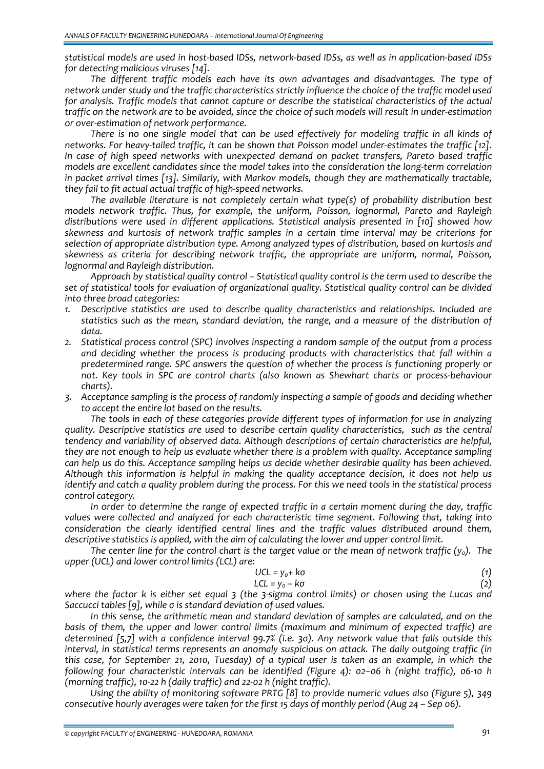statistical models are used in host-based IDSs, network-based IDSs, as well as in application-based IDSs *for detecting malicious viruses [14].*

*The different traffic models each have its own advantages and disadvantages. The type of network under study and the traffic characteristics strictly influence the choice of the traffic model used for analysis. Traffic models that cannot capture or describe the statistical characteristics of the actual* traffic on the network are to be avoided, since the choice of such models will result in under-estimation *or over‐estimation of network performance.*

*There is no one single model that can be used effectively for modeling traffic in all kinds of* networks. For heavy-tailed traffic, it can be shown that Poisson model under-estimates the traffic [12]. *In case of high speed networks with unexpected demand on packet transfers, Pareto based traffic models are excellent candidates since the model takes into the consideration the long‐term correlation in packet arrival times [13]. Similarly, with Markov models, though they are mathematically tractable, they fail to fit actual actual traffic of high‐speed networks.*

*The available literature is not completely certain what type(s) of probability distribution best models network traffic. Thus, for example, the uniform, Poisson, lognormal, Pareto and Rayleigh distributions were used in different applications. Statistical analysis presented in [10] showed how skewness and kurtosis of network traffic samples in a certain time interval may be criterions for selection of appropriate distribution type. Among analyzed types of distribution, based on kurtosis and skewness as criteria for describing network traffic, the appropriate are uniform, normal, Poisson, lognormal and Rayleigh distribution.*

*Approach by statistical quality control – Statistical quality control is the term used to describe the set of statistical tools for evaluation of organizational quality. Statistical quality control can be divided into three broad categories:*

- *1. Descriptive statistics are used to describe quality characteristics and relationships. Included are statistics such as the mean, standard deviation, the range, and a measure of the distribution of data.*
- *2. Statistical process control (SPC) involves inspecting a random sample of the output from a process and deciding whether the process is producing products with characteristics that fall within a predetermined range. SPC answers the question of whether the process is functioning properly or not. Key tools in SPC are control charts (also known as Shewhart charts or process‐behaviour charts).*
- *3. Acceptance sampling is the process of randomly inspecting a sample of goods and deciding whether to accept the entire lot based on the results.*

*The tools in each of these categories provide different types of information for use in analyzing quality. Descriptive statistics are used to describe certain quality characteristics, such as the central tendency and variability of observed data. Although descriptions of certain characteristics are helpful, they are not enough to help us evaluate whether there is a problem with quality. Acceptance sampling can help us do this. Acceptance sampling helps us decide whether desirable quality has been achieved. Although this information is helpful in making the quality acceptance decision, it does not help us* identify and catch a quality problem during the process. For this we need tools in the statistical process *control category.*

*In order to determine the range of expected traffic in a certain moment during the day, traffic values were collected and analyzed for each characteristic time segment. Following that, taking into consideration the clearly identified central lines and the traffic values distributed around them, descriptive statistics is applied, with the aim of calculating the lower and upper control limit.* 

The center line for the control chart is the target value or the mean of network traffic  $(y_0)$ . The *upper (UCL) and lower control limits (LCL) are:*

$$
UCL = y_o + k\sigma \tag{1}
$$

$$
LCL = y_0 - k\sigma \tag{2}
$$

where the factor  $k$  is either set equal  $3$  (the  $3$ -sigma control limits) or chosen using the Lucas and *Saccucci tables [9], while σ is standard deviation of used values.*

*In this sense, the arithmetic mean and standard deviation of samples are calculated, and on the basis of them, the upper and lower control limits (maximum and minimum of expected traffic) are* determined [5,7] with a confidence interval 99.7% (i.e. 30). Any network value that falls outside this *interval, in statistical terms represents an anomaly suspicious on attack. The daily outgoing traffic (in* this case, for September 21, 2010, Tuesday) of a typical user is taken as an example, in which the *following four characteristic intervals can be identified (Figure 4): 02–06 h (night traffic), 06‐10 h (morning traffic), 10‐22 h (daily traffic) and 22‐02 h (night traffic).* 

*Using the ability of monitoring software PRTG [8] to provide numeric values also (Figure 5), 349 consecutive hourly averages were taken for the first 15 days of monthly period (Aug 24 – Sep 06).*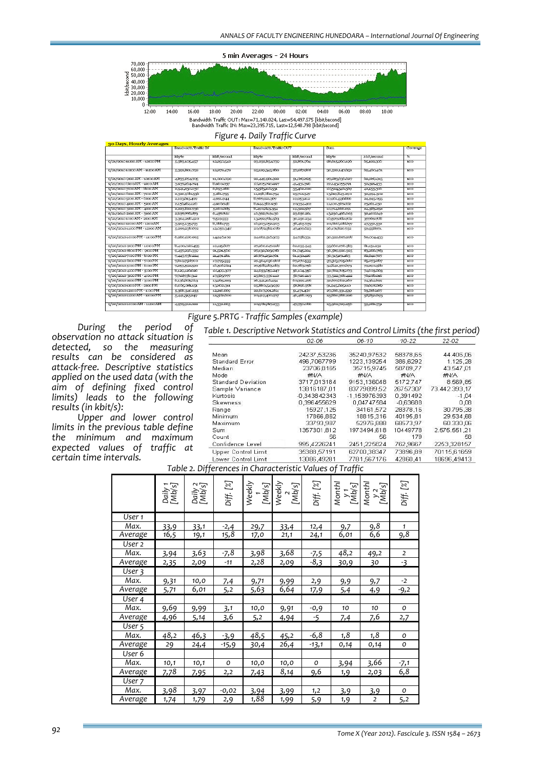

22:00  $00:00$  $08:00$ Bandwidth Traffic OUT: Max=71,140.024, Last=54,497.575 [kbit/second]<br>Bandwidth Traffic IN: Max=23,395.715, Last=12,548.798 [kbit/second]

*Figure 4. Daily Traffic Curve*

| 30 Days, Hourly Averages     |                             |             |                       |             |                |             |          |  |  |
|------------------------------|-----------------------------|-------------|-----------------------|-------------|----------------|-------------|----------|--|--|
|                              | <b>Bandwidth Traffic IN</b> |             | Bandwidth Traffic OUT |             | Sum            |             | Coverage |  |  |
|                              | kbyte                       | kbit/second | ktyte                 | kbit/second | kbyte          | kbit/second | ☜        |  |  |
| 0/21/201011:00 AM - 12:00 PM | 5,303,105,457               | 12,250,542  | 23232.054730          | 52.071.704  | 201015000100   | 05322300    | $100-$   |  |  |
| 9/21/201010:00 AM - 11200 AM | 5,392,801.792               | 12,272.472  | 25129.345.500         | 57457.955   | 30,522,147.052 | 09,400,401  | 100      |  |  |
| 9/21/2010 9:00 AM - 10:00 AM | 4,533,574705                | 11,000.090  | 22,449,901,922        | 51,000,025  | 27,203,030.027 | 02,009.915  | 100      |  |  |
| 0/21/2010 0:00 AM - 0:00 AM  | 3,937,204-794               | 8,000,037   | 15,205,790.997        | 41,431,390  | 22,143,055791  | 50,391.433  | 100      |  |  |
| 0/21/20107:00AM - 8:00 AM    | 2,941,230,035               | 0.093.200   | 1552310531            | 35402.020   | 15,524,340,509 | 42455300    | 100      |  |  |
| 9/21/2010 0:00 AM - 7:00 AM  | 2,320,000,530               | 5281755     | 11,295,802.754        | 25712.547   | 13019243290    | 30,094,302  | 100      |  |  |
| 9/21/2010 5:00 AM - 0:00 AM  | 2493015499                  | 4691944     | 8,707,921,907         | 19,953112   | 10,001,530,800 | 24,945,055  | 100      |  |  |
| 9/21/2010 4:00 AM - 5:00 AM  | 2455484420                  | 4,900.748   | 8,944,382.950         | 20354-402   | 11,100,907,052 | 25201450    | 100      |  |  |
| 9/21/2010 3:00 AM - 4:00 AM  | 2,223,022.730               | 5,000.005   | 8,490,643,354         | 19,322.977  | 10,714,000.091 | 24353252    | 100      |  |  |
| 9/21/2010 2:00 AM - 3:00 AM  | 2.037.770.073               | 6,457.755   | 10,392,7194.90        | 23,050.201  | 13230,490.003  | 30408049    | 100      |  |  |
| 9/21/20101:00 AM - 200 AM    | 3304295420                  | 7,519,553   | 13292,704.503         | 30,250.234  | 10.977.002.002 | 37.709.700  | 100      |  |  |
| 0/21/201012:00 AM - 1:00 AM  | 3,905,135,773               | 8,860.773   | 10/203052/203         | 35-405-759  | 20,000 100 077 | 47352.532   | 100      |  |  |
| 0/20/201011:00 PM - 12:00 AM | 5200230.072                 | 12,099,340  | 20.072.952.000        | 47499423    | 20171,020.752  | 59,555,071  | 100      |  |  |
| 9/20/201010:00 PM - 11:00 PM | 6,200,480,995               | 14240402    | 24002.510.303         | 54754334    | 30,322,097,298 | 09,004-433  | 100      |  |  |
| 9/20/2010 9:00 PM - 10:00 PM | 0.400,020.455               | 19115007    | 27,200,047.920        | 02,035.545  | 35,000,070,303 | 61151232    | 100      |  |  |
| 9/20/2010 6:00 PM - 9:00 PM  | 9.457290.339                | 21,521,500  | 27132023900           | 01,745224   | 30.959.920.325 | 83200.783   | 100      |  |  |
| 9/20/20107:00 PM - 8:00 PM   | 9443835224                  | 21,491,261  | 20,071,252.901        | 01.193420   | 30,315101.185  | 82041.707   | 100      |  |  |
| 9/20/2010 6:00 PM - 7:00 PM  | 7,819,753700                | 17/795/333  | 29.904.090.955        | 67,276,533  | 37323795088    | 85,073,807  | 100      |  |  |
| 9/20/2010 5:00 PM - 6:00 PM  | 7253,592,590                | 10,900224   | 27.955,055,053        | 02/703750   | 34242577073    | 79290.50    | 100      |  |  |
| 9/20/2010 4:00 PM - 5:00 PM  | 8,129,120,020               | 18,499.307  | 24 053 059 247        | 50404350    | 321762765273   | 74003003    | 100      |  |  |
| 9/20/2010 3:00 PM - 4:00 PM  | 7,715,955.312               | 17,505797   | 25003390410           | 55,720.219  | 33-522-306-422 | 76256.016   | 100      |  |  |
| 9/20/2010 2:00 PM - 3:00 PM  | 0130085813                  | 13,905.223  | 20,541,110,454        | 00399470    | 32/077,002.207 | 74304.099   | 100      |  |  |
| 9/20/20101:00 PM - 2:00 PM   | 0.005.001.151               | 13002.311   | 25,000,542,050        | 55,590.376  | 31,945,025,110 | 72000000    | 100      |  |  |
| 9/20/201012:00 PM - 1:00 PM  | 5306340.255                 | 12,210,000  | 22/17/201204          | 51.471.496  | 27,000,331,530 | 03066107    | 100      |  |  |
| 9/20/201011:00 AM - 12:00 PM | 5:441,315249                | 12302.000   | 20419470577           | 40-405-093  | 25000.700.220  | 5000003     | 100      |  |  |
| 9/20/201010100 AM - 11300 AM | 4/979/912 022               | 11,332.005  | 20,952,517,233        | 47,750.056  | 25,902,729.250 | 59,002.751  | 100      |  |  |

*Figure 5.PRTG ‐ Traffic Samples (example)*

#### *Table 1. Descriptive Network Statistics and Control Limits (the first period)*

*During the period of observation no attack situation is detected, so the measuring results can be considered as attack‐free. Descriptive statistics applied on the used data (with the aim of defining fixed control limits) leads to the following results (in kbit/s):*

*Upper and lower control limits in the previous table define the minimum and maximum expected values of traffic at certain time intervals.*

|                           | 02-06          | 06-10        | $10 - 22$  | 22-02         |
|---------------------------|----------------|--------------|------------|---------------|
| Mean                      | 24237,53236    | 35240,97532  | 58378,65   | 44.406,06     |
| Standard Error            | 496,7067799    | 1223,139254  | 386,6292   | 1.125,28      |
| Median.                   | 23706,8165     | 35715,9745   | 58789.77   | 43.547.01     |
| Mode                      | #N/A           | #N/A         | #N/A       | #N/A          |
| <b>Standard Deviation</b> | 3717,013184    | 9153,136048  | 5172,747   | 8.569,85      |
| Sample Variance           | 13816187.01    | 83779899.52  | 26757307   | 73.442.393.17 |
| Kurtosis                  | $-0.343842343$ | -1,153976393 | 0,391492   | $-1.04$       |
| <b>Skewness</b>           | 0,396455629    | 0.04747584   | $-0,63688$ | 0.08          |
| Range                     | 15927,125      | 34161,572    | 28378.16   | 30.795,38     |
| Minimum.                  | 17866,862      | 18815,316    | 40195,81   | 29.534,68     |
| Maximum                   | 33793,987      | 52976,888    | 68573,97   | 60.330,06     |
| Sum.                      | 1357301,812    | 1973494,618  | 10449778   | 2.575.551.21  |
| Count                     | 56             | 56           | 179        | 58            |
| Confidence Level          | 995,4226241    | 2451,225824  | 762,9667   | 2253,328157   |
| Upper Control Limit       | 35388.57191    | 62700.38347  | 73896.89   | 70115.61659   |
| Lower Control Limit       | 13086.49281    | 7781.567176  | 42860.41   | 18696.49413   |

*Table 2. Differences in Characteristic Values of Traffic*

|         | Daily 1<br>[Mb/s] | Daily 2<br>[Mb/s] | Diff.[%] |      | Weekly<br>[Mb/s]<br>[Mb/s]<br>[Mb/s] | Diff.[%]      |      | $\begin{array}{l} \textit{Month} \\ \textit{y} \\ \textit{[Mb/s]} \\ \textit{MonthI} \\ \textit{y} \\ \textit{[Mb/s]} \\ \textit{[Mb/s]} \\ \textit{[Mb/s]} \end{array}$ | Diff.[%]           |
|---------|-------------------|-------------------|----------|------|--------------------------------------|---------------|------|--------------------------------------------------------------------------------------------------------------------------------------------------------------------------|--------------------|
| User 1  |                   |                   |          |      |                                      |               |      |                                                                                                                                                                          |                    |
| Max.    | 33,9              | 33,1              | $-2,4$   | 29,7 | 33,4                                 | 12,4          | 9,7  | 9,8                                                                                                                                                                      | $\mathbf{1}$       |
| Average | 16,5              | 19,1              | 15,8     | 17,0 | 21,1                                 | 24,1          | 6,01 | 6,6                                                                                                                                                                      | 9,8                |
| User 2  |                   |                   |          |      |                                      |               |      |                                                                                                                                                                          |                    |
| Max.    | 3,94              | 3,63              | $-7,8$   | 3,98 | 3,68                                 | $-7,5$        | 48,2 | 49,2                                                                                                                                                                     | 2                  |
| Average | 2,35              | 2,09              | $-11$    | 2,28 | 2,09                                 | $-\sqrt{8,3}$ | 30,9 | 30                                                                                                                                                                       | $-3$               |
| User 3  |                   |                   |          |      |                                      |               |      |                                                                                                                                                                          |                    |
| Max.    | 9,31              | 10,0              | 7,4      | 9,71 | 9,99                                 | 2,9           | 9,9  | 9,7                                                                                                                                                                      | $-2$               |
| Average | 5,71              | 6,01              | 5,2      | 5,63 | 6,64                                 | 17,9          | 5,4  | 4,9                                                                                                                                                                      | $-9,2$             |
| User 4  |                   |                   |          |      |                                      |               |      |                                                                                                                                                                          |                    |
| Max.    | 9,69              | 9,99              | 3,1      | 10,0 | 9,91                                 | $-0,9$        | 10   | 10                                                                                                                                                                       | 0                  |
| Average | 4,96              | 5,14              | 3.6      | 5,2  | 4,94                                 | $-5$          | 7,4  | 7,6                                                                                                                                                                      | 2,7                |
| User 5  |                   |                   |          |      |                                      |               |      |                                                                                                                                                                          |                    |
| Max.    | 48,2              | 46,3              | $-3,9$   | 48,5 | 45,2                                 | $-6,8$        | 1,8  | 1,8                                                                                                                                                                      | O                  |
| Average | 29                | 24,4              | $-15,9$  | 30,4 | 26,4                                 | $-13,1$       | 0,14 | 0,14                                                                                                                                                                     | O                  |
| User 6  |                   |                   |          |      |                                      |               |      |                                                                                                                                                                          |                    |
| Max.    | 10,1              | 10,1              | O        | 10,0 | 10,0                                 | O             | 3,94 | 3,66                                                                                                                                                                     |                    |
| Average | 7,78              | 7,95              | 2,2      | 7,43 | 8,14                                 | 9,6           | 1, 9 | 2,03                                                                                                                                                                     | $\frac{-7,1}{6,8}$ |
| User 7  |                   |                   |          |      |                                      |               |      |                                                                                                                                                                          |                    |
| Max.    | 3,98              | 3,97              | $-0,02$  | 3,94 | 3,99                                 | 1,2           | 3,9  | 3,9                                                                                                                                                                      | o                  |
| Average | 1,74              | 1,79              | 2,9      | 1,88 | 1,99                                 | 5,9           | 1,9  | $\overline{2}$                                                                                                                                                           | 5,2                |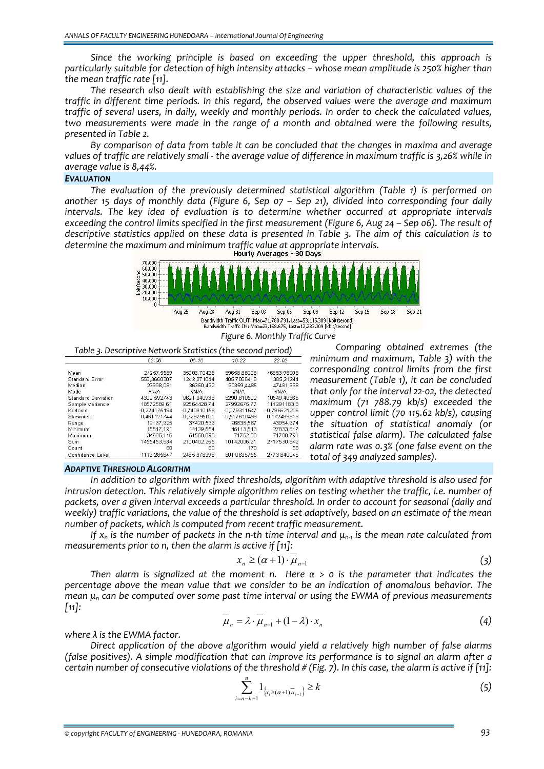*Since the working principle is based on exceeding the upper threshold, this approach is particularly suitable for detection of high intensity attacks – whose mean amplitude is 250% higher than the mean traffic rate [11].*

*The research also dealt with establishing the size and variation of characteristic values of the traffic in different time periods. In this regard, the observed values were the average and maximum traffic of several users, in daily, weekly and monthly periods. In order to check the calculated values, two measurements were made in the range of a month and obtained were the following results, presented in Table 2.*

*By comparison of data from table it can be concluded that the changes in maxima and average* values of traffic are relatively small - the average value of difference in maximum traffic is 3.26% while in *average value is 8,44%.*

## *EVALUATION*

*The evaluation of the previously determined statistical algorithm (Table 1) is performed on another 15 days of monthly data (Figure 6, Sep 07 – Sep 21), divided into corresponding four daily intervals. The key idea of evaluation is to determine whether occurred at appropriate intervals* exceeding the control limits specified in the first measurement (Figure 6, Aug 24 – Sep 06). The result of descriptive statistics applied on these data is presented in Table 3. The aim of this calculation is to *determine the maximum and minimum traffic value at appropriate intervals.*



Bandwidth Traffic IN: Max=23.158.675, Last=12.233.309 [kbit/second] *Figure 6. Monthly Traffic Curve*

*Table 3. Descriptive Network Statistics (the second period)*

|                           | 02-06          | 06-10        | 10-22          | $22 - 02$      |
|---------------------------|----------------|--------------|----------------|----------------|
| Mean                      | 24257.5589     | 35006.70425  | 59658,86008    | 46853,98003    |
| Standard Error            | 556.3660307    | 1242.071044  | 405.7866418    | 1385.21244     |
| Median.                   | 23998.081      | 36360.432    | 60359.4485     | 47481,368      |
| Mode                      | #N/A           | #N/A         | #N/A           | #N/A           |
| <b>Standard Deviation</b> | 4309.592743    | 9621.040938  | 5290,810502    | 10549.4636     |
| Sample Variance           | 18572589.61    | 92564428.74  | 27992675.77    | 111291183.     |
| Kurtosis                  | $-0.224175194$ | -0.740910158 | -0.079311647   | $-0,796621206$ |
| <b>Skewness</b>           | 0.461121744    | -0.229295021 | $-0.517610499$ | 0,172489813    |
| Range                     | 19167.925      | 37420,539    | 26638,567      | 43954,97       |
| Minimum                   | 15517.191      | 14129.554    | 45113.513      | 27833.81       |
| Maximum                   | 34685.116      | 51550.093    | 71752,08       | 71788.79       |
| Sum                       | 1455453.534    | 2100402.255  | 10142006,21    | 2717530,842    |
| Count                     | 60             | 60           | 170            | 58             |
| Confidence Level          | 1113.285847    | 2485.378398  | 801.0635755    | 2773.84004     |

*ADAPTIVE THRESHOLD ALGORITHM*

*In addition to algorithm with fixed thresholds, algorithm with adaptive threshold is also used for intrusion detection. This relatively simple algorithm relies on testing whether the traffic, i.e. number of* packets, over a given interval exceeds a particular threshold. In order to account for seasonal (daily and weekly) traffic variations, the value of the threshold is set adaptively, based on an estimate of the mean *number of packets, which is computed from recent traffic measurement.*

If  $x_n$  is the number of packets in the n-th time interval and  $\mu_{n-1}$  is the mean rate calculated from *measurements prior to n, then the alarm is active if [11]:*

$$
x_n \geq (\alpha + 1) \cdot \mu_{n-1} \tag{3}
$$

*total of 349 analyzed samples).*

*Comparing obtained extremes (the minimum and maximum, Table 3) with the corresponding control limits from the first measurement (Table 1), it can be concluded that only for the interval 22‐02, the detected maximum (71 788.79 kb/s) exceeded the upper control limit (70 115.62 kb/s), causing the situation of statistical anomaly (or statistical false alarm). The calculated false alarm rate was 0.3% (one false event on the*

Then alarm is signalized at the moment n. Here  $\alpha > 0$  is the parameter that indicates the *percentage above the mean value that we consider to be an indication of anomalous behavior. The mean μ<sup>n</sup> can be computed over some past time interval or using the EWMA of previous measurements [11]:*

$$
\overline{\mu}_n = \lambda \cdot \overline{\mu}_{n-1} + (1 - \lambda) \cdot x_n \tag{4}
$$

*where λ is the EWMA factor.*

*Direct application of the above algorithm would yield a relatively high number of false alarms (false positives). A simple modification that can improve its performance is to signal an alarm after a* certain number of consecutive violations of the threshold  $#$  (Fig. 7). In this case, the alarm is active if [11]:

$$
\sum_{i=n-k+1}^{n} 1_{\left\{x_i \geq (\alpha+1)\overline{\mu}_{i-1}\right\}} \geq k \tag{5}
$$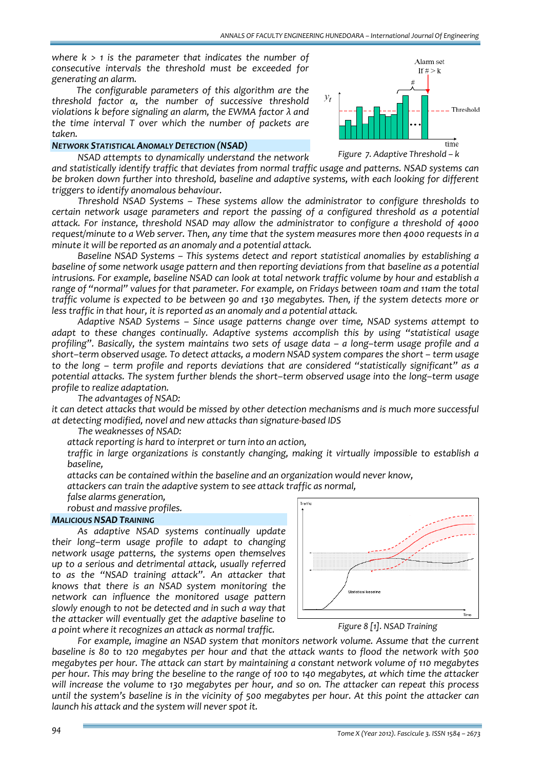*where k > 1 is the parameter that indicates the number of consecutive intervals the threshold must be exceeded for generating an alarm.*

*The configurable parameters of this algorithm are the threshold factor α, the number of successive threshold violations k before signaling an alarm, the EWMA factor λ and the time interval T over which the number of packets are taken.*

#### *NETWORK STATISTICAL ANOMALY DETECTION (NSAD)*



*NSAD attempts to dynamically understand the network and statistically identify traffic that deviates from normal traffic usage and patterns. NSAD systems can be broken down further into threshold, baseline and adaptive systems, with each looking for different triggers to identify anomalous behaviour.*

*Threshold NSAD Systems – These systems allow the administrator to configure thresholds to certain network usage parameters and report the passing of a configured threshold as a potential attack. For instance, threshold NSAD may allow the administrator to configure a threshold of 4000* request/minute to a Web server. Then, any time that the system measures more then 4000 requests in a *minute it will be reported as an anomaly and a potential attack.*

*Baseline NSAD Systems – This systems detect and report statistical anomalies by establishing a baseline of some network usage pattern and then reporting deviations from that baseline as a potential intrusions. For example, baseline NSAD can look at total network traffic volume by hour and establish a range of "normal" values for that parameter. For example, on Fridays between 10am and 11am the total traffic volume is expected to be between 90 and 130 megabytes. Then, if the system detects more or less traffic in that hour, it is reported as an anomaly and a potential attack.* 

*Adaptive NSAD Systems – Since usage patterns change over time, NSAD systems attempt to adapt to these changes continually. Adaptive systems accomplish this by using "statistical usage profiling". Basically, the system maintains two sets of usage data – a long–term usage profile and a short–term observed usage. To detect attacks, a modern NSAD system compares the short – term usage to the long – term profile and reports deviations that are considered "statistically significant" as a potential attacks. The system further blends the short–term observed usage into the long–term usage profile to realize adaptation.* 

*The advantages of NSAD:*

*it can detect attacks that would be missed by other detection mechanisms and is much more successful at detecting modified, novel and new attacks than signature‐based IDS*

*The weaknesses of NSAD:*

*attack reporting is hard to interpret or turn into an action,*

 *traffic in large organizations is constantly changing, making it virtually impossible to establish a baseline,*

*attacks can be contained within the baseline and an organization would never know,*

*attackers can train the adaptive system to see attack traffic as normal,*

*false alarms generation,*

*robust and massive profiles.*

#### *MALICIOUS NSAD TRAINING*

*As adaptive NSAD systems continually update their long–term usage profile to adapt to changing network usage patterns, the systems open themselves up to a serious and detrimental attack, usually referred to as the "NSAD training attack". An attacker that knows that there is an NSAD system monitoring the network can influence the monitored usage pattern slowly enough to not be detected and in such a way that the attacker will eventually get the adaptive baseline to a point where it recognizes an attack as normal traffic.*





*For example, imagine an NSAD system that monitors network volume. Assume that the current* baseline is 80 to 120 megabytes per hour and that the attack wants to flood the network with 500 *megabytes per hour. The attack can start by maintaining a constant network volume of 110 megabytes* per hour. This may bring the beseline to the range of 100 to 140 megabytes, at which time the attacker will increase the volume to 130 megabytes per hour, and so on. The attacker can repeat this process until the system's baseline is in the vicinity of 500 megabytes per hour. At this point the attacker can *launch his attack and the system will never spot it.*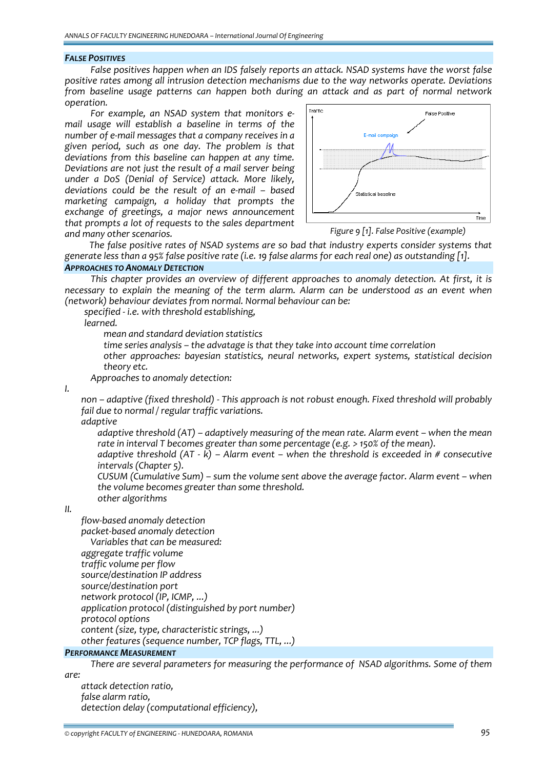## *FALSE POSITIVES*

*False positives happen when an IDS falsely reports an attack. NSAD systems have the worst false positive rates among all intrusion detection mechanisms due to the way networks operate. Deviations from baseline usage patterns can happen both during an attack and as part of normal network operation.*

*For example, an NSAD system that monitors e‐ mail usage will establish a baseline in terms of the number of e‐mail messages that a company receives in a given period, such as one day. The problem is that deviations from this baseline can happen at any time. Deviations are not just the result of a mail server being under a DoS (Denial of Service) attack. More likely, deviations could be the result of an e‐mail – based marketing campaign, a holiday that prompts the exchange of greetings, a major news announcement that prompts a lot of requests to the sales department and many other scenarios.*



*Figure 9 [1]. False Positive (example)*

*The false positive rates of NSAD systems are so bad that industry experts consider systems that* generate less than a 95% false positive rate (i.e. 19 false alarms for each real one) as outstanding [1].

# *APPROACHES TO ANOMALY DETECTION*

*This chapter provides an overview of different approaches to anomaly detection. At first, it is necessary to explain the meaning of the term alarm. Alarm can be understood as an event when (network) behaviour deviates from normal. Normal behaviour can be:*

*specified ‐ i.e. with threshold establishing,*

*learned.*

*mean and standard deviation statistics*

*time series analysis – the advatage is that they take into account time correlation*

 *other approaches: bayesian statistics, neural networks, expert systems, statistical decision theory etc.*

*Approaches to anomaly detection:*

*I.*

 *non – adaptive (fixed threshold) ‐ This approach is not robust enough. Fixed threshold will probably fail due to normal / regular traffic variations.*

*adaptive*

 *adaptive threshold (AT) – adaptively measuring of the mean rate. Alarm event – when the mean rate in interval T becomes greater than some percentage (e.g. > 150% of the mean).*

 *adaptive threshold (AT ‐ k) – Alarm event – when the threshold is exceeded in # consecutive intervals (Chapter 5).*

 *CUSUM (Cumulative Sum) – sum the volume sent above the average factor. Alarm event – when the volume becomes greater than some threshold. other algorithms*

*II.*

 *flow‐based anomaly detection packet‐based anomaly detection Variables that can be measured: aggregate traffic volume traffic volume per flow source/destination IP address source/destination port network protocol (IP, ICMP, ...) application protocol (distinguished by port number) protocol options content (size, type, characteristic strings, ...)*

*other features (sequence number, TCP flags, TTL, ...)*

## *PERFORMANCE MEASUREMENT*

*There are several parameters for measuring the performance of NSAD algorithms. Some of them are:*

 *attack detection ratio, false alarm ratio, detection delay (computational efficiency),*